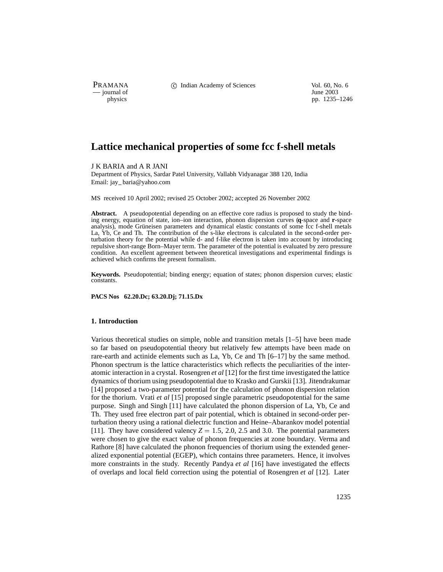— journal of<br>physics

PRAMANA 
<sup>c</sup> Indian Academy of Sciences Vol. 60, No. 6<br>
— journal of June 2003

pp. 1235–1246

# **Lattice mechanical properties of some fcc f-shell metals**

J K BARIA and A R JANI

Department of Physics, Sardar Patel University, Vallabh Vidyanagar 388 120, India Email: jay\_baria@yahoo.com

MS received 10 April 2002; revised 25 October 2002; accepted 26 November 2002

**Abstract.** A pseudopotential depending on an effective core radius is proposed to study the binding energy, equation of state, ion–ion interaction, phonon dispersion curves (**q**-space and **r**-space analysis), mode Grüneisen parameters and dynamical elastic constants of some fcc f-shell metals La, Yb, Ce and Th. The contribution of the s-like electrons is calculated in the second-order perturbation theory for the potential while d- and f-like electron is taken into account by introducing repulsive short-range Born–Mayer term. The parameter of the potential is evaluated by zero pressure condition. An excellent agreement between theoretical investigations and experimental findings is achieved which confirms the present formalism.

**Keywords.** Pseudopotential; binding energy; equation of states; phonon dispersion curves; elastic constants.

**PACS Nos 62.20.Dc; 63.20.Dj; 71.15.Dx**

# **1. Introduction**

Various theoretical studies on simple, noble and transition metals [1–5] have been made so far based on pseudopotential theory but relatively few attempts have been made on rare-earth and actinide elements such as La, Yb, Ce and Th [6–17] by the same method. Phonon spectrum is the lattice characteristics which reflects the peculiarities of the interatomic interaction in a crystal. Rosengren *et al* [12] for the first time investigated the lattice dynamics of thorium using pseudopotential due to Krasko and Gurskii [13]. Jitendrakumar [14] proposed a two-parameter potential for the calculation of phonon dispersion relation for the thorium. Vrati *et al* [15] proposed single parametric pseudopotential for the same purpose. Singh and Singh [11] have calculated the phonon dispersion of La, Yb, Ce and Th. They used free electron part of pair potential, which is obtained in second-order perturbation theory using a rational dielectric function and Heine–Abarankov model potential [11]. They have considered valency  $Z = 1.5, 2.0, 2.5$  and 3.0. The potential parameters were chosen to give the exact value of phonon frequencies at zone boundary. Verma and Rathore [8] have calculated the phonon frequencies of thorium using the extended generalized exponential potential (EGEP), which contains three parameters. Hence, it involves more constraints in the study. Recently Pandya *et al* [16] have investigated the effects of overlaps and local field correction using the potential of Rosengren *et al* [12]. Later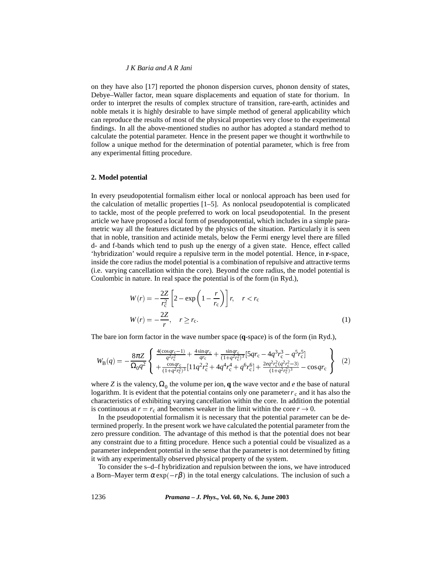# *J K Baria and A R Jani*

on they have also [17] reported the phonon dispersion curves, phonon density of states, Debye–Waller factor, mean square displacements and equation of state for thorium. In order to interpret the results of complex structure of transition, rare-earth, actinides and noble metals it is highly desirable to have simple method of general applicability which can reproduce the results of most of the physical properties very close to the experimental findings. In all the above-mentioned studies no author has adopted a standard method to calculate the potential parameter. Hence in the present paper we thought it worthwhile to follow a unique method for the determination of potential parameter, which is free from any experimental fitting procedure.

# **2. Model potential**

In every pseudopotential formalism either local or nonlocal approach has been used for the calculation of metallic properties [1–5]. As nonlocal pseudopotential is complicated to tackle, most of the people preferred to work on local pseudopotential. In the present article we have proposed a local form of pseudopotential, which includes in a simple parametric way all the features dictated by the physics of the situation. Particularly it is seen that in noble, transition and actinide metals, below the Fermi energy level there are filled d- and f-bands which tend to push up the energy of a given state. Hence, effect called 'hybridization' would require a repulsive term in the model potential. Hence, in **r**-space, inside the core radius the model potential is a combination of repulsive and attractive terms (i.e. varying cancellation within the core). Beyond the core radius, the model potential is Coulombic in nature. In real space the potential is of the form (in Ryd.),

$$
W(r) = -\frac{2Z}{r_c^2} \left[ 2 - \exp\left(1 - \frac{r}{r_c}\right) \right] r, \quad r < r_c
$$
  

$$
W(r) = -\frac{2Z}{r}, \quad r \ge r_c.
$$
 (1)

The bare ion form factor in the wave number space (**q**-space) is of the form (in Ryd.),

$$
W_{\rm B}(q) = -\frac{8\pi Z}{\Omega_0 q^2} \left\{ \begin{array}{l} \frac{4(\cos qr_c - 1)}{q^2 r_c^2} + \frac{4\sin qr_c}{qr_c} + \frac{\sin qr_c}{(1+q^2 r_c^2)^3} [5qr_c - 4q^3 r_c^3 - q^5 r_c^5] \\ + \frac{\cos qr_c}{(1+q^2 r_c^2)^3} [11q^2 r_c^2 + 4q^4 r_c^4 + q^6 r_c^6] + \frac{2eq^2 r_c^2 (q^2 r_c^2 - 3)}{(1+q^2 r_c^2)^3} - \cos qr_c \end{array} \right\} \tag{2}
$$

where *Z* is the valency,  $\Omega_0$  the volume per ion, **q** the wave vector and *e* the base of natural logarithm. It is evident that the potential contains only one parameter  $r_c$  and it has also the characteristics of exhibiting varying cancellation within the core. In addition the potential is continuous at  $r = r_c$  and becomes weaker in the limit within the core  $r \to 0$ .

In the pseudopotential formalism it is necessary that the potential parameter can be determined properly. In the present work we have calculated the potential parameter from the zero pressure condition. The advantage of this method is that the potential does not bear any constraint due to a fitting procedure. Hence such a potential could be visualized as a parameter independent potential in the sense that the parameter is not determined by fitting it with any experimentally observed physical property of the system.

To consider the s–d–f hybridization and repulsion between the ions, we have introduced a Born–Mayer term  $\alpha \exp(-r\beta)$  in the total energy calculations. The inclusion of such a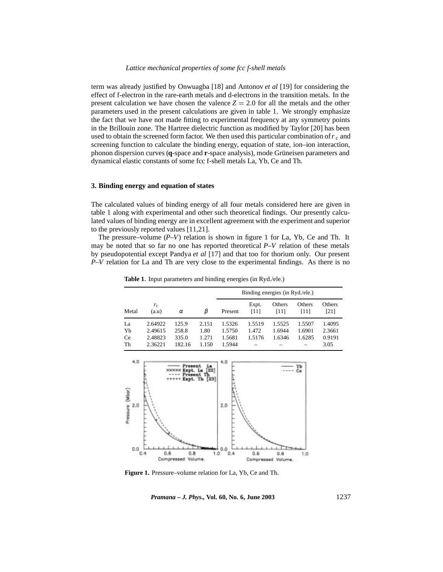#### *Lattice mechanical properties of some fcc f-shell metals*

term was already justified by Onwuagba [18] and Antonov *et al* [19] for considering the effect of f-electron in the rare-earth metals and d-electrons in the transition metals. In the present calculation we have chosen the valence  $Z = 2.0$  for all the metals and the other parameters used in the present calculations are given in table 1. We strongly emphasize the fact that we have not made fitting to experimental frequency at any symmetry points in the Brillouin zone. The Hartree dielectric function as modified by Taylor [20] has been used to obtain the screened form factor. We then used this particular combination of  $r_c$  and screening function to calculate the binding energy, equation of state, ion–ion interaction, phonon dispersion curves (**q**-space and **r**-space analysis), mode Grüneisen parameters and dynamical elastic constants of some fcc f-shell metals La, Yb, Ce and Th.

# **3. Binding energy and equation of states**

The calculated values of binding energy of all four metals considered here are given in table 1 along with experimental and other such theoretical findings. Our presently calculated values of binding energy are in excellent agreement with the experiment and superior to the previously reported values [11,21].

The pressure–volume (*P*–*V*) relation is shown in figure 1 for La, Yb, Ce and Th. It may be noted that so far no one has reported theoretical *P*–*V* relation of these metals by pseudopotential except Pandya *et al* [17] and that too for thorium only. Our present *P*–*V* relation for La and Th are very close to the experimental findings. As there is no

|       |                      |          |       | Binding energies (in Ryd./ele.) |               |                |                |                |  |
|-------|----------------------|----------|-------|---------------------------------|---------------|----------------|----------------|----------------|--|
| Metal | $r_{\rm c}$<br>(a.u) | $\alpha$ | ß     | Present                         | Expt.<br>[11] | Others<br>[11] | Others<br>[11] | Others<br>[21] |  |
| La    | 2.64922              | 125.9    | 2.151 | 1.5326                          | 1.5519        | 1.5525         | 1.5507         | 1.4095         |  |
| Yb    | 2.49615              | 258.8    | 1.80  | 1.5750                          | 1.472         | 1.6944         | 1.6901         | 2.3661         |  |
| Ce    | 2.48823              | 335.0    | 1.271 | 1.5681                          | 1.5176        | 1.6346         | 1.6285         | 0.9191         |  |
| Th    | 2.36221              | 182.16   | 1.150 | 1.5944                          |               |                |                | 3.05           |  |

**Table 1**. Input parameters and binding energies (in Ryd./ele.)



**Figure 1.** Pressure–volume relation for La, Yb, Ce and Th.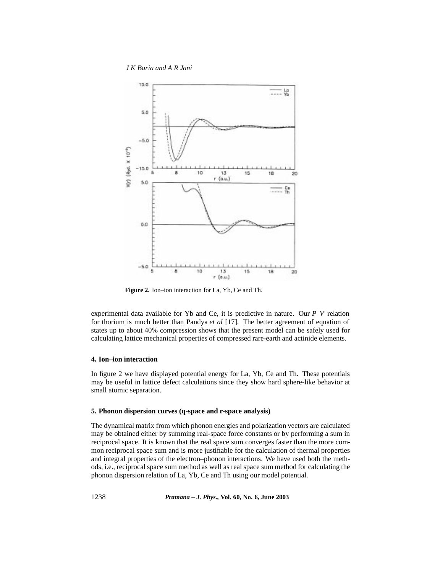*J K Baria and A R Jani*



**Figure 2.** Ion–ion interaction for La, Yb, Ce and Th.

experimental data available for Yb and Ce, it is predictive in nature. Our *P*–*V* relation for thorium is much better than Pandya *et al* [17]. The better agreement of equation of states up to about 40% compression shows that the present model can be safely used for calculating lattice mechanical properties of compressed rare-earth and actinide elements.

# **4. Ion–ion interaction**

In figure 2 we have displayed potential energy for La, Yb, Ce and Th. These potentials may be useful in lattice defect calculations since they show hard sphere-like behavior at small atomic separation.

#### **5. Phonon dispersion curves (q-space and r-space analysis)**

The dynamical matrix from which phonon energies and polarization vectors are calculated may be obtained either by summing real-space force constants or by performing a sum in reciprocal space. It is known that the real space sum converges faster than the more common reciprocal space sum and is more justifiable for the calculation of thermal properties and integral properties of the electron–phonon interactions. We have used both the methods, i.e., reciprocal space sum method as well as real space sum method for calculating the phonon dispersion relation of La, Yb, Ce and Th using our model potential.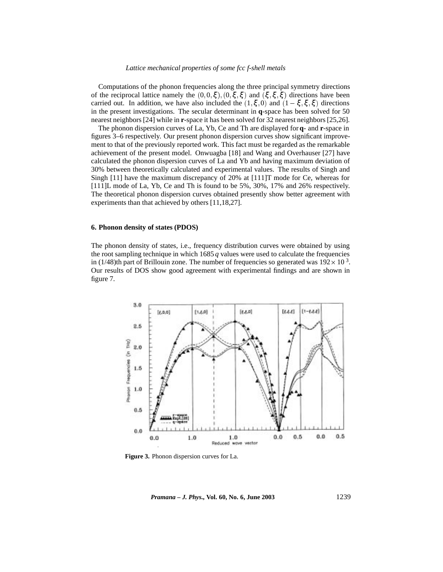#### *Lattice mechanical properties of some fcc f-shell metals*

Computations of the phonon frequencies along the three principal symmetry directions of the reciprocal lattice namely the  $(0,0,\xi), (0,\xi,\xi)$  and  $(\xi,\xi,\xi)$  directions have been carried out. In addition, we have also included the  $(1,\xi,0)$  and  $(1-\xi,\xi,\xi)$  directions in the present investigations. The secular determinant in **q**-space has been solved for 50 nearest neighbors [24] while in **r**-space it has been solved for 32 nearest neighbors [25,26].

The phonon dispersion curves of La, Yb, Ce and Th are displayed for **q**- and **r**-space in figures 3–6 respectively. Our present phonon dispersion curves show significant improvement to that of the previously reported work. This fact must be regarded as the remarkable achievement of the present model. Onwuagba [18] and Wang and Overhauser [27] have calculated the phonon dispersion curves of La and Yb and having maximum deviation of 30% between theoretically calculated and experimental values. The results of Singh and Singh [11] have the maximum discrepancy of 20% at [111]T mode for Ce, whereas for [111]L mode of La, Yb, Ce and Th is found to be 5%, 30%, 17% and 26% respectively. The theoretical phonon dispersion curves obtained presently show better agreement with experiments than that achieved by others [11,18,27].

#### **6. Phonon density of states (PDOS)**

The phonon density of states, i.e., frequency distribution curves were obtained by using the root sampling technique in which 1685 *q* values were used to calculate the frequencies in (1/48)th part of Brillouin zone. The number of frequencies so generated was  $192 \times 10^{-3}$ . Our results of DOS show good agreement with experimental findings and are shown in figure 7.



**Figure 3.** Phonon dispersion curves for La.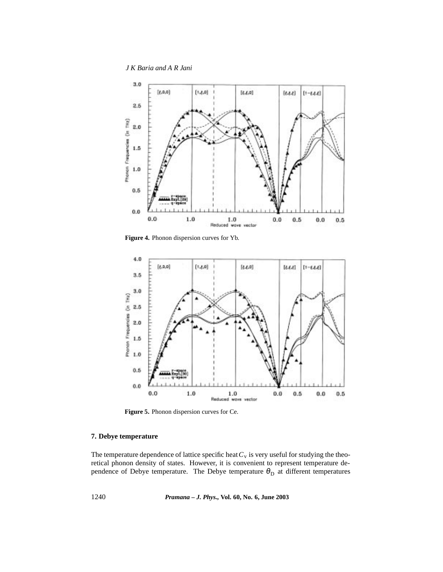*J K Baria and A R Jani*



**Figure 4.** Phonon dispersion curves for Yb.



**Figure 5.** Phonon dispersion curves for Ce.

# **7. Debye temperature**

The temperature dependence of lattice specific heat  $C<sub>v</sub>$  is very useful for studying the theoretical phonon density of states. However, it is convenient to represent temperature dependence of Debye temperature. The Debye temperature  $\theta_D$  at different temperatures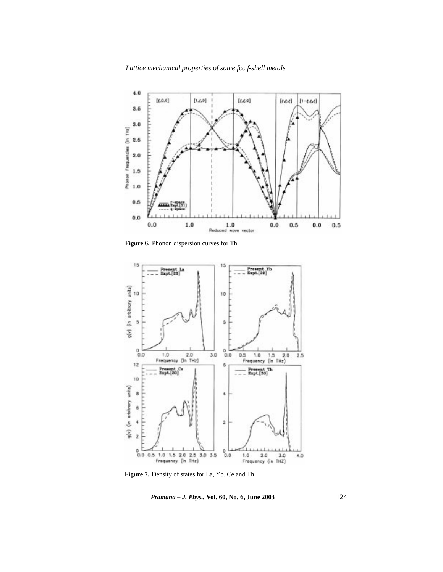

**Figure 6.** Phonon dispersion curves for Th.



**Figure 7.** Density of states for La, Yb, Ce and Th.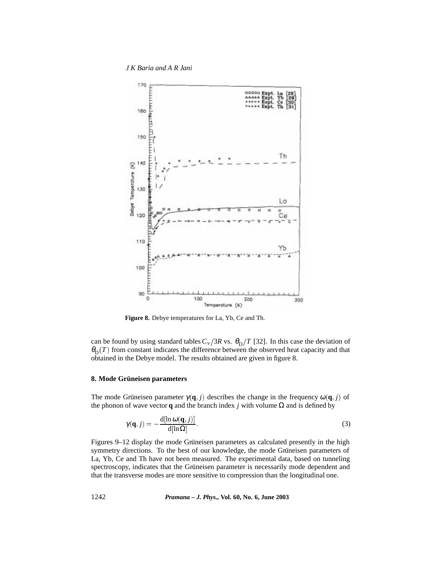*J K Baria and A R Jani*



**Figure 8.** Debye temperatures for La, Yb, Ce and Th.

can be found by using standard tables  $C_v/3R$  vs.  $\theta_D/T$  [32]. In this case the deviation of  $\theta_{\text{D}}(T)$  from constant indicates the difference between the observed heat capacity and that obtained in the Debye model. The results obtained are given in figure 8.

# 8. Mode Grüneisen parameters

The mode Grüneisen parameter  $\gamma(\mathbf{q}, j)$  describes the change in the frequency  $\omega(\mathbf{q}, j)$  of the phonon of wave vector **q** and the branch index *j* with volume  $\Omega$  and is defined by

$$
\gamma(\mathbf{q},j) = -\frac{\mathrm{d}[\ln \omega(\mathbf{q},j)]}{\mathrm{d}[\ln \Omega]}.
$$
\n(3)

Figures 9–12 display the mode Grüneisen parameters as calculated presently in the high symmetry directions. To the best of our knowledge, the mode Grüneisen parameters of La, Yb, Ce and Th have not been measured. The experimental data, based on tunneling spectroscopy, indicates that the Grüneisen parameter is necessarily mode dependent and that the transverse modes are more sensitive to compression than the longitudinal one.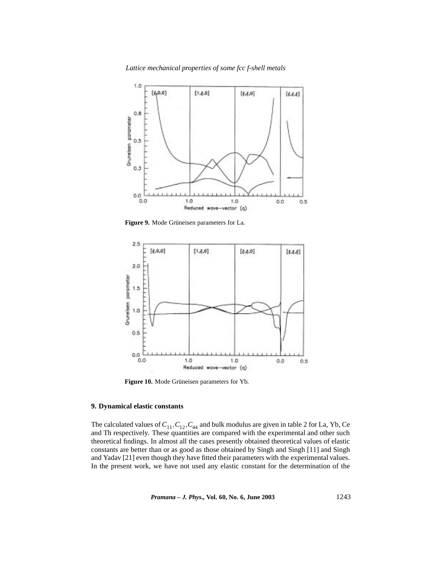*Lattice mechanical properties of some fcc f-shell metals*



Figure 9. Mode Grüneisen parameters for La.



Figure 10. Mode Grüneisen parameters for Yb.

# **9. Dynamical elastic constants**

The calculated values of  $C_{11}$ ,  $C_{12}$ ,  $C_{44}$  and bulk modulus are given in table 2 for La, Yb, Ce and Th respectively. These quantities are compared with the experimental and other such theoretical findings. In almost all the cases presently obtained theoretical values of elastic constants are better than or as good as those obtained by Singh and Singh [11] and Singh and Yadav [21] even though they have fitted their parameters with the experimental values. In the present work, we have not used any elastic constant for the determination of the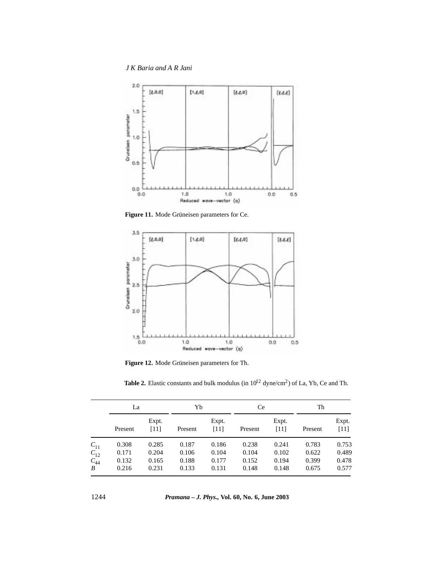*J K Baria and A R Jani*



Figure 11. Mode Grüneisen parameters for Ce.



Figure 12. Mode Grüneisen parameters for Th.

**Table 2.** Elastic constants and bulk modulus (in  $10^{12}$  dyne/cm<sup>2</sup>) of La, Yb, Ce and Th.

|          | La      |               | Yb      |               | <b>Ce</b> |               | Th      |               |
|----------|---------|---------------|---------|---------------|-----------|---------------|---------|---------------|
|          | Present | Expt.<br>[11] | Present | Expt.<br>[11] | Present   | Expt.<br>[11] | Present | Expt.<br>[11] |
| $C_{11}$ | 0.308   | 0.285         | 0.187   | 0.186         | 0.238     | 0.241         | 0.783   | 0.753         |
| $c_{12}$ | 0.171   | 0.204         | 0.106   | 0.104         | 0.104     | 0.102         | 0.622   | 0.489         |
| $C_{44}$ | 0.132   | 0.165         | 0.188   | 0.177         | 0.152     | 0.194         | 0.399   | 0.478         |
| B        | 0.216   | 0.231         | 0.133   | 0.131         | 0.148     | 0.148         | 0.675   | 0.577         |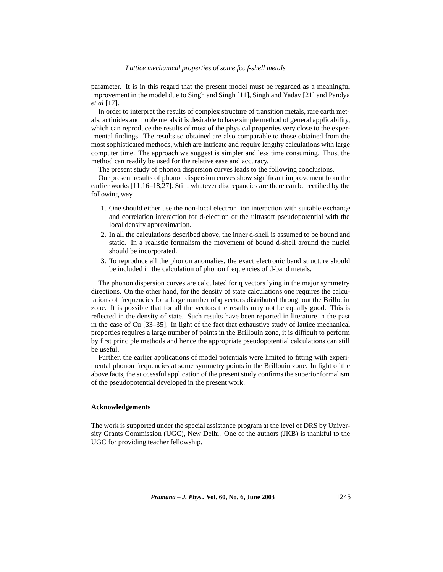#### *Lattice mechanical properties of some fcc f-shell metals*

parameter. It is in this regard that the present model must be regarded as a meaningful improvement in the model due to Singh and Singh [11], Singh and Yadav [21] and Pandya *et al* [17].

In order to interpret the results of complex structure of transition metals, rare earth metals, actinides and noble metals it is desirable to have simple method of general applicability, which can reproduce the results of most of the physical properties very close to the experimental findings. The results so obtained are also comparable to those obtained from the most sophisticated methods, which are intricate and require lengthy calculations with large computer time. The approach we suggest is simpler and less time consuming. Thus, the method can readily be used for the relative ease and accuracy.

The present study of phonon dispersion curves leads to the following conclusions.

Our present results of phonon dispersion curves show significant improvement from the earlier works [11,16–18,27]. Still, whatever discrepancies are there can be rectified by the following way.

- 1. One should either use the non-local electron–ion interaction with suitable exchange and correlation interaction for d-electron or the ultrasoft pseudopotential with the local density approximation.
- 2. In all the calculations described above, the inner d-shell is assumed to be bound and static. In a realistic formalism the movement of bound d-shell around the nuclei should be incorporated.
- 3. To reproduce all the phonon anomalies, the exact electronic band structure should be included in the calculation of phonon frequencies of d-band metals.

The phonon dispersion curves are calculated for **q** vectors lying in the major symmetry directions. On the other hand, for the density of state calculations one requires the calculations of frequencies for a large number of **q** vectors distributed throughout the Brillouin zone. It is possible that for all the vectors the results may not be equally good. This is reflected in the density of state. Such results have been reported in literature in the past in the case of Cu [33–35]. In light of the fact that exhaustive study of lattice mechanical properties requires a large number of points in the Brillouin zone, it is difficult to perform by first principle methods and hence the appropriate pseudopotential calculations can still be useful.

Further, the earlier applications of model potentials were limited to fitting with experimental phonon frequencies at some symmetry points in the Brillouin zone. In light of the above facts, the successful application of the present study confirms the superior formalism of the pseudopotential developed in the present work.

#### **Acknowledgements**

The work is supported under the special assistance program at the level of DRS by University Grants Commission (UGC), New Delhi. One of the authors (JKB) is thankful to the UGC for providing teacher fellowship.